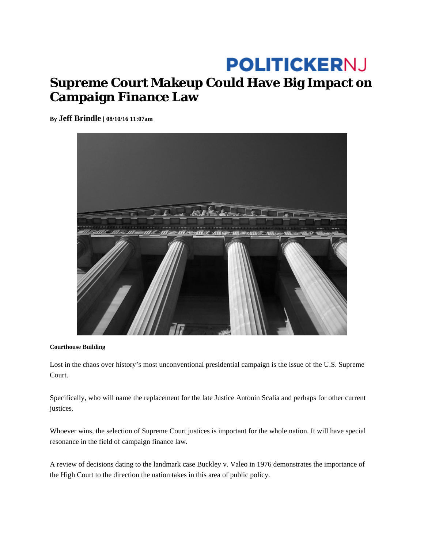## **POLITICKERNJ Supreme Court Makeup Could Have Big Impact on Campaign Finance Law**

**By Jeff Brindle | 08/10/16 11:07am** 



## **Courthouse Building**

Lost in the chaos over history's most unconventional presidential campaign is the issue of the U.S. Supreme Court.

Specifically, who will name the replacement for the late Justice Antonin Scalia and perhaps for other current justices.

Whoever wins, the selection of Supreme Court justices is important for the whole nation. It will have special resonance in the field of campaign finance law.

A review of decisions dating to the landmark case Buckley v. Valeo in 1976 demonstrates the importance of the High Court to the direction the nation takes in this area of public policy.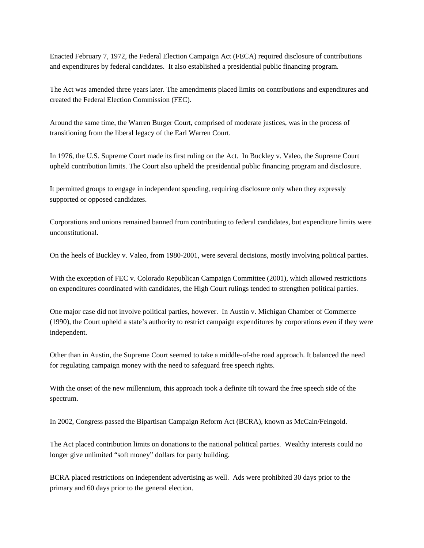Enacted February 7, 1972, the Federal Election Campaign Act (FECA) required disclosure of contributions and expenditures by federal candidates. It also established a presidential public financing program.

The Act was amended three years later. The amendments placed limits on contributions and expenditures and created the Federal Election Commission (FEC).

Around the same time, the Warren Burger Court, comprised of moderate justices, was in the process of transitioning from the liberal legacy of the Earl Warren Court.

In 1976, the U.S. Supreme Court made its first ruling on the Act. In Buckley v. Valeo, the Supreme Court upheld contribution limits. The Court also upheld the presidential public financing program and disclosure.

It permitted groups to engage in independent spending, requiring disclosure only when they expressly supported or opposed candidates.

Corporations and unions remained banned from contributing to federal candidates, but expenditure limits were unconstitutional.

On the heels of Buckley v. Valeo, from 1980-2001, were several decisions, mostly involving political parties.

With the exception of FEC v. Colorado Republican Campaign Committee (2001), which allowed restrictions on expenditures coordinated with candidates, the High Court rulings tended to strengthen political parties.

One major case did not involve political parties, however. In Austin v. Michigan Chamber of Commerce (1990), the Court upheld a state's authority to restrict campaign expenditures by corporations even if they were independent.

Other than in Austin, the Supreme Court seemed to take a middle-of-the road approach. It balanced the need for regulating campaign money with the need to safeguard free speech rights.

With the onset of the new millennium, this approach took a definite tilt toward the free speech side of the spectrum.

In 2002, Congress passed the Bipartisan Campaign Reform Act (BCRA), known as McCain/Feingold.

The Act placed contribution limits on donations to the national political parties. Wealthy interests could no longer give unlimited "soft money" dollars for party building.

BCRA placed restrictions on independent advertising as well. Ads were prohibited 30 days prior to the primary and 60 days prior to the general election.